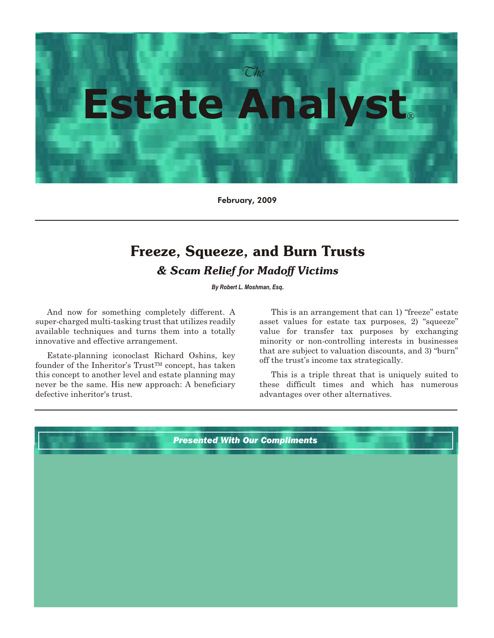

February, 2009

# **Freeze, Squeeze, and Burn Trusts** *& Scam Relief for Madoff Victims*

*By Robert L. Moshman, Esq*.

And now for something completely different. A super-charged multi-tasking trust that utilizes readily available techniques and turns them into a totally innovative and effective arrangement.

Estate-planning iconoclast Richard Oshins, key founder of the Inheritor's Trust<sup>TM</sup> concept, has taken this concept to another level and estate planning may never be the same. His new approach: A beneficiary defective inheritor's trust.

This is an arrangement that can 1) "freeze" estate asset values for estate tax purposes, 2) "squeeze" value for transfer tax purposes by exchanging minority or non-controlling interests in businesses that are subject to valuation discounts, and 3) "burn" off the trust's income tax strategically.

This is a triple threat that is uniquely suited to these difficult times and which has numerous advantages over other alternatives.

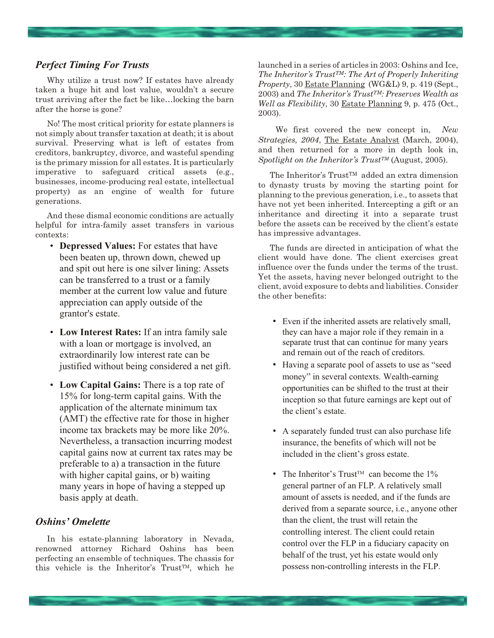# *Perfect Timing For Trusts*

Why utilize a trust now? If estates have already taken a huge hit and lost value, wouldn't a secure trust arriving after the fact be like…locking the barn after the horse is gone?

No! The most critical priority for estate planners is not simply about transfer taxation at death; it is about survival. Preserving what is left of estates from creditors, bankruptcy, divorce, and wasteful spending is the primary mission for all estates. It is particularly imperative to safeguard critical assets (e.g., businesses, income-producing real estate, intellectual property) as an engine of wealth for future generations.

And these dismal economic conditions are actually helpful for intra-family asset transfers in various contexts:

- **Depressed Values:** For estates that have been beaten up, thrown down, chewed up and spit out here is one silver lining: Assets can be transferred to a trust or a family member at the current low value and future appreciation can apply outside of the grantor's estate.
- **Low Interest Rates:** If an intra family sale with a loan or mortgage is involved, an extraordinarily low interest rate can be justified without being considered a net gift.
- **Low Capital Gains:** There is a top rate of 15% for long-term capital gains. With the application of the alternate minimum tax (AMT) the effective rate for those in higher income tax brackets may be more like 20%. Nevertheless, a transaction incurring modest capital gains now at current tax rates may be preferable to a) a transaction in the future with higher capital gains, or b) waiting many years in hope of having a stepped up basis apply at death.

### *Oshins' Omelette*

In his estate-planning laboratory in Nevada, renowned attorney Richard Oshins has been perfecting an ensemble of techniques. The chassis for this vehicle is the Inheritor's TrustTM, which he

launched in a series of articles in 2003: Oshins and Ice, *The Inheritor's TrustTM: The Art of Properly Inheriting Property*, 30 Estate Planning (WG&L) 9, p. 419 (Sept., 2003) and *The Inheritor's TrustTM: Preserves Wealth as Well as Flexibility*, 30 Estate Planning 9, p. 475 (Oct., 2003).

We first covered the new concept in, *New Strategies, 2004*, The Estate Analyst (March, 2004), and then returned for a more in depth look in, *Spotlight on the Inheritor's TrustTM* (August, 2005).

The Inheritor's Trust<sup>TM</sup> added an extra dimension to dynasty trusts by moving the starting point for planning to the previous generation, i.e., to assets that have not yet been inherited. Intercepting a gift or an inheritance and directing it into a separate trust before the assets can be received by the client's estate has impressive advantages.

The funds are directed in anticipation of what the client would have done. The client exercises great influence over the funds under the terms of the trust. Yet the assets, having never belonged outright to the client, avoid exposure to debts and liabilities. Consider the other benefits:

- Even if the inherited assets are relatively small, they can have a major role if they remain in a separate trust that can continue for many years and remain out of the reach of creditors.
- Having a separate pool of assets to use as "seed money" in several contexts. Wealth-earning opportunities can be shifted to the trust at their inception so that future earnings are kept out of the client's estate.
- A separately funded trust can also purchase life insurance, the benefits of which will not be included in the client's gross estate.
- The Inheritor's Trust<sup>™</sup> can become the  $1\%$ general partner of an FLP. A relatively small amount of assets is needed, and if the funds are derived from a separate source, i.e., anyone other than the client, the trust will retain the controlling interest. The client could retain control over the FLP in a fiduciary capacity on behalf of the trust, yet his estate would only possess non-controlling interests in the FLP.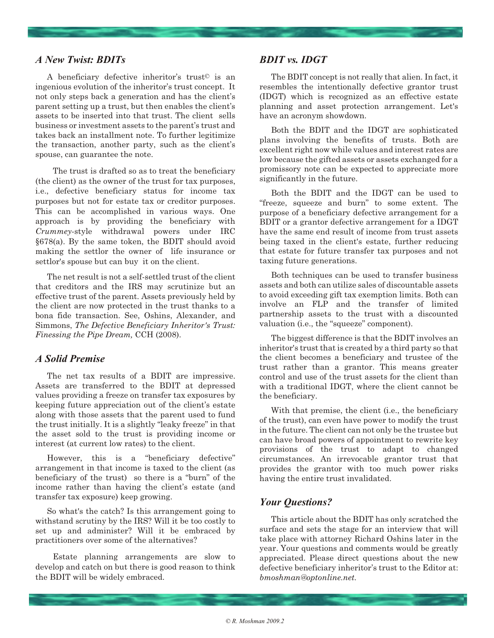### *A New Twist: BDITs*

A beneficiary defective inheritor's trust© is an ingenious evolution of the inheritor's trust concept. It not only steps back a generation and has the client's parent setting up a trust, but then enables the client's assets to be inserted into that trust. The client sells business or investment assets to the parent's trust and takes back an installment note. To further legitimize the transaction, another party, such as the client's spouse, can guarantee the note.

The trust is drafted so as to treat the beneficiary (the client) as the owner of the trust for tax purposes, i.e., defective beneficiary status for income tax purposes but not for estate tax or creditor purposes. This can be accomplished in various ways. One approach is by providing the beneficiary with *Crummey-*style withdrawal powers under IRC §678(a). By the same token, the BDIT should avoid making the settlor the owner of life insurance or settlor's spouse but can buy it on the client.

The net result is not a self-settled trust of the client that creditors and the IRS may scrutinize but an effective trust of the parent. Assets previously held by the client are now protected in the trust thanks to a bona fide transaction. See, Oshins, Alexander, and Simmons, *The Defective Beneficiary Inheritor's Trust: Finessing the Pipe Dream,* CCH (2008).

# *A Solid Premise*

The net tax results of a BDIT are impressive. Assets are transferred to the BDIT at depressed values providing a freeze on transfer tax exposures by keeping future appreciation out of the client's estate along with those assets that the parent used to fund the trust initially. It is a slightly "leaky freeze" in that the asset sold to the trust is providing income or interest (at current low rates) to the client.

However, this is a "beneficiary defective" arrangement in that income is taxed to the client (as beneficiary of the trust) so there is a "burn" of the income rather than having the client's estate (and transfer tax exposure) keep growing.

So what's the catch? Is this arrangement going to withstand scrutiny by the IRS? Will it be too costly to set up and administer? Will it be embraced by practitioners over some of the alternatives?

Estate planning arrangements are slow to develop and catch on but there is good reason to think the BDIT will be widely embraced.

# *BDIT vs. IDGT*

The BDIT concept is not really that alien. In fact, it resembles the intentionally defective grantor trust (IDGT) which is recognized as an effective estate planning and asset protection arrangement. Let's have an acronym showdown.

Both the BDIT and the IDGT are sophisticated plans involving the benefits of trusts. Both are excellent right now while values and interest rates are low because the gifted assets or assets exchanged for a promissory note can be expected to appreciate more significantly in the future.

Both the BDIT and the IDGT can be used to "freeze, squeeze and burn" to some extent. The purpose of a beneficiary defective arrangement for a BDIT or a grantor defective arrangement for a IDGT have the same end result of income from trust assets being taxed in the client's estate, further reducing that estate for future transfer tax purposes and not taxing future generations.

Both techniques can be used to transfer business assets and both can utilize sales of discountable assets to avoid exceeding gift tax exemption limits. Both can involve an FLP and the transfer of limited partnership assets to the trust with a discounted valuation (i.e., the "squeeze" component).

The biggest difference is that the BDIT involves an inheritor's trust that is created by a third party so that the client becomes a beneficiary and trustee of the trust rather than a grantor. This means greater control and use of the trust assets for the client than with a traditional IDGT, where the client cannot be the beneficiary.

With that premise, the client (i.e., the beneficiary of the trust), can even have power to modify the trust in the future. The client can not only be the trustee but can have broad powers of appointment to rewrite key provisions of the trust to adapt to changed circumstances. An irrevocable grantor trust that provides the grantor with too much power risks having the entire trust invalidated.

### *Your Questions?*

This article about the BDIT has only scratched the surface and sets the stage for an interview that will take place with attorney Richard Oshins later in the year. Your questions and comments would be greatly appreciated. Please direct questions about the new defective beneficiary inheritor's trust to the Editor at: *bmoshman@optonline.net.*